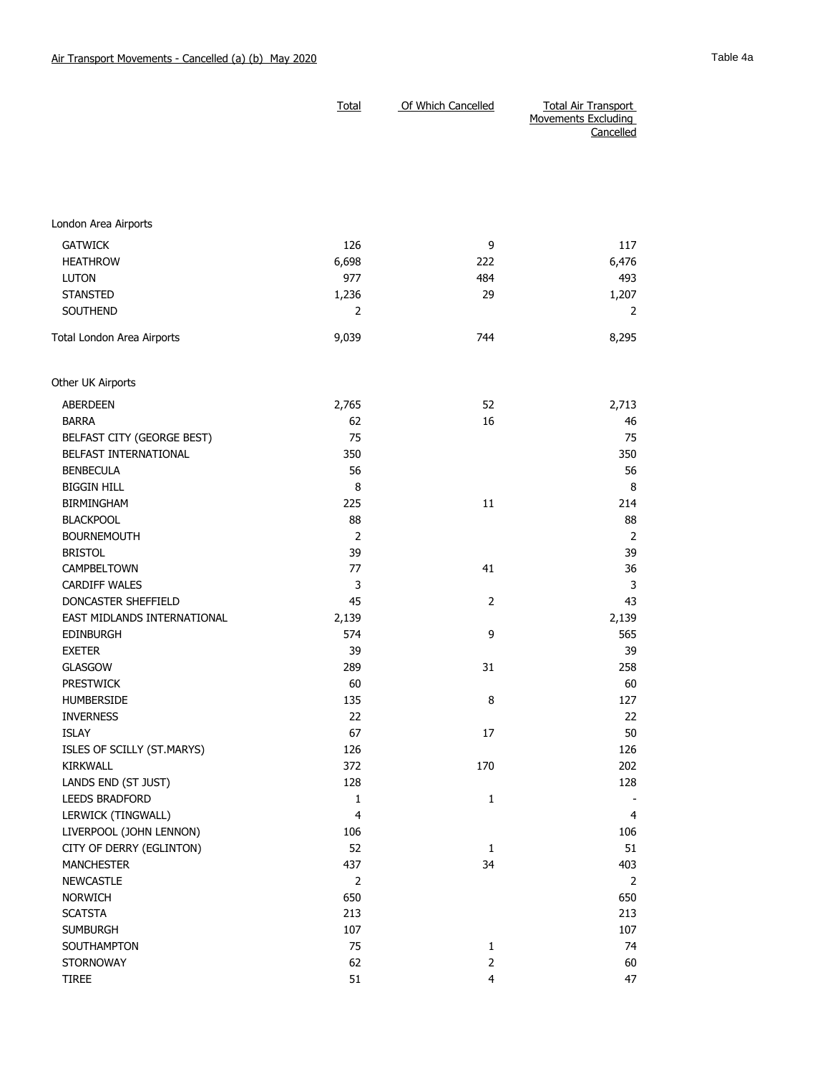|                             | Total          | Of Which Cancelled | <b>Total Air Transport</b><br>Movements Excluding<br>Cancelled |
|-----------------------------|----------------|--------------------|----------------------------------------------------------------|
| London Area Airports        |                |                    |                                                                |
|                             |                |                    |                                                                |
| <b>GATWICK</b>              | 126            | 9                  | 117                                                            |
| <b>HEATHROW</b>             | 6,698          | 222                | 6,476                                                          |
| <b>LUTON</b>                | 977            | 484                | 493                                                            |
| <b>STANSTED</b>             | 1,236          | 29                 | 1,207                                                          |
| <b>SOUTHEND</b>             | $\overline{2}$ |                    | 2                                                              |
| Total London Area Airports  | 9,039          | 744                | 8,295                                                          |
| Other UK Airports           |                |                    |                                                                |
| <b>ABERDEEN</b>             | 2,765          | 52                 | 2,713                                                          |
| <b>BARRA</b>                | 62             | 16                 | 46                                                             |
| BELFAST CITY (GEORGE BEST)  | 75             |                    | 75                                                             |
| BELFAST INTERNATIONAL       | 350            |                    | 350                                                            |
| <b>BENBECULA</b>            | 56             |                    | 56                                                             |
| <b>BIGGIN HILL</b>          | 8              |                    | 8                                                              |
| <b>BIRMINGHAM</b>           | 225            | 11                 | 214                                                            |
| <b>BLACKPOOL</b>            | 88             |                    | 88                                                             |
| <b>BOURNEMOUTH</b>          | 2              |                    | 2                                                              |
| <b>BRISTOL</b>              | 39             |                    | 39                                                             |
| CAMPBELTOWN                 | 77             | 41                 | 36                                                             |
| <b>CARDIFF WALES</b>        | 3              |                    | 3                                                              |
| DONCASTER SHEFFIELD         | 45             | $\overline{2}$     | 43                                                             |
| EAST MIDLANDS INTERNATIONAL | 2,139          |                    | 2,139                                                          |
| <b>EDINBURGH</b>            | 574            | 9                  | 565                                                            |
| <b>EXETER</b>               | 39             |                    | 39                                                             |
| <b>GLASGOW</b>              | 289            | 31                 | 258                                                            |
| <b>PRESTWICK</b>            | 60             |                    | 60                                                             |
| <b>HUMBERSIDE</b>           | 135            | 8                  | 127                                                            |
| <b>INVERNESS</b>            | 22             |                    | 22                                                             |
| ISLAY                       | 67             | 17                 | 50                                                             |
| ISLES OF SCILLY (ST.MARYS)  | 126            |                    | 126                                                            |
| <b>KIRKWALL</b>             | 372            | 170                | 202                                                            |
| LANDS END (ST JUST)         | 128            |                    | 128                                                            |
| LEEDS BRADFORD              | $\mathbf{1}$   | $\mathbf 1$        |                                                                |
| LERWICK (TINGWALL)          | $\overline{4}$ |                    | $\overline{4}$                                                 |
| LIVERPOOL (JOHN LENNON)     | 106            |                    | 106                                                            |
| CITY OF DERRY (EGLINTON)    | 52             | $1\,$              | 51                                                             |
| <b>MANCHESTER</b>           | 437            | 34                 | 403                                                            |
| NEWCASTLE                   | $\overline{2}$ |                    | $\overline{2}$                                                 |

NORWICH 650 650 SCATSTA 213 213 SUMBURGH 107 107 107 SOUTHAMPTON 75 1 74 STORNOWAY 62 2 60 TIREE  $51$  4  $4$  47